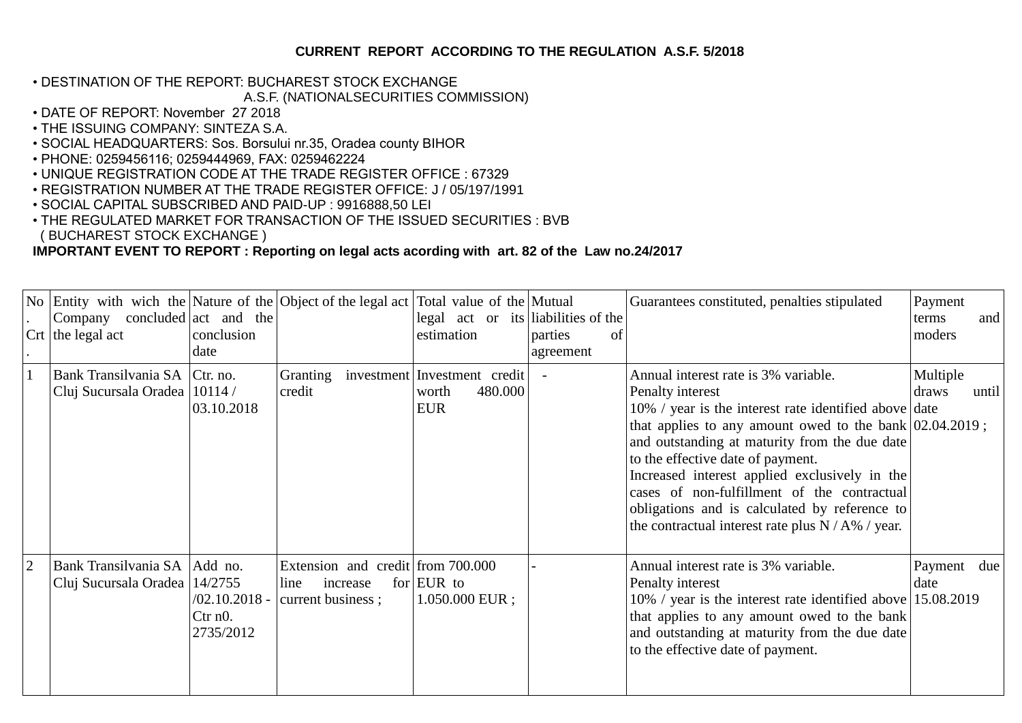## **CURRENT REPORT ACCORDING TO THE REGULATION A.S.F. 5/2018**

## • DESTINATION OF THE REPORT: BUCHAREST STOCK EXCHANGE

## A.S.F. (NATIONALSECURITIES COMMISSION)

- DATE OF REPORT: November 27 2018
- THE ISSUING COMPANY: SINTEZA S.A.
- SOCIAL HEADQUARTERS: Sos. Borsului nr.35, Oradea county BIHOR
- PHONE: 0259456116; 0259444969, FAX: 0259462224
- UNIQUE REGISTRATION CODE AT THE TRADE REGISTER OFFICE : 67329
- REGISTRATION NUMBER AT THE TRADE REGISTER OFFICE: J / 05/197/1991
- SOCIAL CAPITAL SUBSCRIBED AND PAID-UP : 9916888,50 LEI
- THE REGULATED MARKET FOR TRANSACTION OF THE ISSUED SECURITIES : BVB ( BUCHAREST STOCK EXCHANGE )

## **IMPORTANT EVENT TO REPORT : Reporting on legal acts acording with art. 82 of the Law no.24/2017**

|                | No Entity with wich the Nature of the Object of the legal act Total value of the Mutual<br>Company<br>$Crt$ the legal act | concluded $ act$ and the<br>conclusion<br>date |                                                                            | legal act or its liabilities of the<br>estimation              | parties<br>οf<br>agreement | Guarantees constituted, penalties stipulated                                                                                                                                                                                                                                                                                                                                                                                                                                 | Payment<br>terms<br>moders | and   |
|----------------|---------------------------------------------------------------------------------------------------------------------------|------------------------------------------------|----------------------------------------------------------------------------|----------------------------------------------------------------|----------------------------|------------------------------------------------------------------------------------------------------------------------------------------------------------------------------------------------------------------------------------------------------------------------------------------------------------------------------------------------------------------------------------------------------------------------------------------------------------------------------|----------------------------|-------|
|                | Bank Transilvania SA Ctr. no.<br>Cluj Sucursala Oradea   10114 /                                                          | 03.10.2018                                     | Granting<br>credit                                                         | investment Investment credit<br>480.000<br>worth<br><b>EUR</b> |                            | Annual interest rate is 3% variable.<br>Penalty interest<br>10% / year is the interest rate identified above date<br>that applies to any amount owed to the bank $ 02.04.2019;$<br>and outstanding at maturity from the due date<br>to the effective date of payment.<br>Increased interest applied exclusively in the<br>cases of non-fulfillment of the contractual<br>obligations and is calculated by reference to<br>the contractual interest rate plus $N/A\%$ / year. | Multiple<br>draws          | until |
| $\overline{2}$ | Bank Transilvania SA   Add no.<br>Cluj Sucursala Oradea   14/2755                                                         | $/02.10.2018 -$<br>$C$ tr n $0$ .<br>2735/2012 | Extension and credit from 700.000<br>increase<br>line<br>current business; | for $EUR$ to<br>$1.050.000$ EUR;                               |                            | Annual interest rate is 3% variable.<br>Penalty interest<br>10% / year is the interest rate identified above 15.08.2019<br>that applies to any amount owed to the bank<br>and outstanding at maturity from the due date<br>to the effective date of payment.                                                                                                                                                                                                                 | Payment due<br>date        |       |